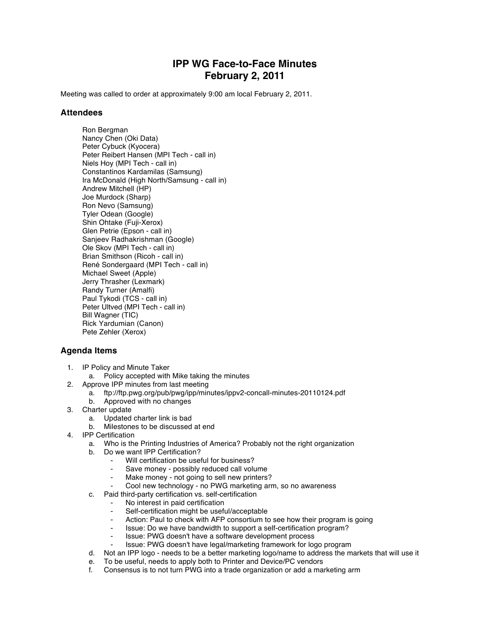## **IPP WG Face-to-Face Minutes February 2, 2011**

Meeting was called to order at approximately 9:00 am local February 2, 2011.

## **Attendees**

Ron Bergman Nancy Chen (Oki Data) Peter Cybuck (Kyocera) Peter Reibert Hansen (MPI Tech - call in) Niels Hoy (MPI Tech - call in) Constantinos Kardamilas (Samsung) Ira McDonald (High North/Samsung - call in) Andrew Mitchell (HP) Joe Murdock (Sharp) Ron Nevo (Samsung) Tyler Odean (Google) Shin Ohtake (Fuji-Xerox) Glen Petrie (Epson - call in) Sanjeev Radhakrishman (Google) Ole Skov (MPI Tech - call in) Brian Smithson (Ricoh - call in) René Sondergaard (MPI Tech - call in) Michael Sweet (Apple) Jerry Thrasher (Lexmark) Randy Turner (Amalfi) Paul Tykodi (TCS - call in) Peter Ultved (MPI Tech - call in) Bill Wagner (TIC) Rick Yardumian (Canon) Pete Zehler (Xerox)

## **Agenda Items**

- 1. IP Policy and Minute Taker
	- a. Policy accepted with Mike taking the minutes
- 2. Approve IPP minutes from last meeting
	- a. ftp://ftp.pwg.org/pub/pwg/ipp/minutes/ippv2-concall-minutes-20110124.pdf
	- b. Approved with no changes
- 3. Charter update
	- a. Updated charter link is bad
		- Milestones to be discussed at end
- 4. IPP Certification
	- a. Who is the Printing Industries of America? Probably not the right organization
	- b. Do we want IPP Certification?
		- Will certification be useful for business?
			- Save money possibly reduced call volume
		- Make money not going to sell new printers?
		- Cool new technology no PWG marketing arm, so no awareness
	- c. Paid third-party certification vs. self-certification
		- No interest in paid certification
		- Self-certification might be useful/acceptable
		- Action: Paul to check with AFP consortium to see how their program is going
		- Issue: Do we have bandwidth to support a self-certification program?
		- Issue: PWG doesn't have a software development process
		- Issue: PWG doesn't have legal/marketing framework for logo program
	- d. Not an IPP logo needs to be a better marketing logo/name to address the markets that will use it
	- e. To be useful, needs to apply both to Printer and Device/PC vendors
	- f. Consensus is to not turn PWG into a trade organization or add a marketing arm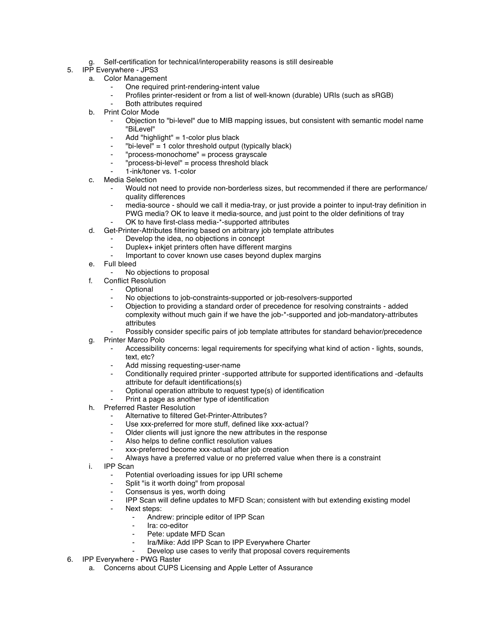- g. Self-certification for technical/interoperability reasons is still desireable
- 5. IPP Everywhere JPS3
	- a. Color Management
		- One required print-rendering-intent value
		- Profiles printer-resident or from a list of well-known (durable) URIs (such as sRGB)
		- Both attributes required
	- b. Print Color Mode
		- Objection to "bi-level" due to MIB mapping issues, but consistent with semantic model name "BiLevel"
		- Add "highlight"  $= 1$ -color plus black
		- ⁃ "bi-level" = 1 color threshold output (typically black)
		- ⁃ "process-monochome" = process grayscale
		- ⁃ "process-bi-level" = process threshold black
		- ⁃ 1-ink/toner vs. 1-color
	- c. Media Selection
		- Would not need to provide non-borderless sizes, but recommended if there are performance/ quality differences
		- media-source should we call it media-tray, or just provide a pointer to input-tray definition in
		- PWG media? OK to leave it media-source, and just point to the older definitions of tray OK to have first-class media-\*-supported attributes
	- d. Get-Printer-Attributes filtering based on arbitrary job template attributes
		- Develop the idea, no objections in concept
		- Duplex+ inkjet printers often have different margins
		- Important to cover known use cases beyond duplex margins
	- e. Full bleed
		- No objections to proposal
	- f. Conflict Resolution
		- **Optional**
		- ⁃ No objections to job-constraints-supported or job-resolvers-supported
		- ⁃ Objection to providing a standard order of precedence for resolving constraints added complexity without much gain if we have the job-\*-supported and job-mandatory-attributes attributes
		- Possibly consider specific pairs of job template attributes for standard behavior/precedence
	- g. Printer Marco Polo
		- Accessibility concerns: legal requirements for specifying what kind of action lights, sounds, text, etc?
		- Add missing requesting-user-name
		- Conditionally required printer -supported attribute for supported identifications and -defaults attribute for default identifications(s)
		- ⁃ Optional operation attribute to request type(s) of identification
		- Print a page as another type of identification
	- h. Preferred Raster Resolution
		- Alternative to filtered Get-Printer-Attributes?
		- ⁃ Use xxx-preferred for more stuff, defined like xxx-actual?
		- ⁃ Older clients will just ignore the new attributes in the response
		- Also helps to define conflict resolution values
		- xxx-preferred become xxx-actual after job creation
		- Always have a preferred value or no preferred value when there is a constraint
	- i. IPP Scan
		- Potential overloading issues for ipp URI scheme
		- ⁃ Split "is it worth doing" from proposal
		- ⁃ Consensus is yes, worth doing
		- ⁃ IPP Scan will define updates to MFD Scan; consistent with but extending existing model
		- Next steps:
			- ⁃ Andrew: principle editor of IPP Scan
			- Ira: co-editor
			- Pete: update MFD Scan
			- Ira/Mike: Add IPP Scan to IPP Everywhere Charter
			- Develop use cases to verify that proposal covers requirements
- 6. IPP Everywhere PWG Raster
	- a. Concerns about CUPS Licensing and Apple Letter of Assurance